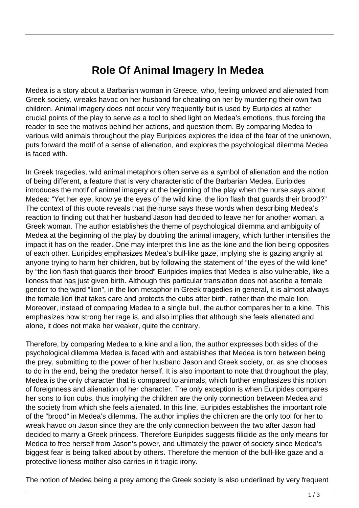## **Role Of Animal Imagery In Medea**

Medea is a story about a Barbarian woman in Greece, who, feeling unloved and alienated from Greek society, wreaks havoc on her husband for cheating on her by murdering their own two children. Animal imagery does not occur very frequently but is used by Euripides at rather crucial points of the play to serve as a tool to shed light on Medea's emotions, thus forcing the reader to see the motives behind her actions, and question them. By comparing Medea to various wild animals throughout the play Euripides explores the idea of the fear of the unknown, puts forward the motif of a sense of alienation, and explores the psychological dilemma Medea is faced with.

In Greek tragedies, wild animal metaphors often serve as a symbol of alienation and the notion of being different, a feature that is very characteristic of the Barbarian Medea. Euripides introduces the motif of animal imagery at the beginning of the play when the nurse says about Medea: "Yet her eye, know ye the eyes of the wild kine, the lion flash that guards their brood?" The context of this quote reveals that the nurse says these words when describing Medea's reaction to finding out that her husband Jason had decided to leave her for another woman, a Greek woman. The author establishes the theme of psychological dilemma and ambiguity of Medea at the beginning of the play by doubling the animal imagery, which further intensifies the impact it has on the reader. One may interpret this line as the kine and the lion being opposites of each other. Euripides emphasizes Medea's bull-like gaze, implying she is gazing angrily at anyone trying to harm her children, but by following the statement of "the eyes of the wild kine" by "the lion flash that guards their brood" Euripides implies that Medea is also vulnerable, like a lioness that has just given birth. Although this particular translation does not ascribe a female gender to the word "lion", in the lion metaphor in Greek tragedies in general, it is almost always the female lion that takes care and protects the cubs after birth, rather than the male lion. Moreover, instead of comparing Medea to a single bull, the author compares her to a kine. This emphasizes how strong her rage is, and also implies that although she feels alienated and alone, it does not make her weaker, quite the contrary. educed this quote reveals that the numeral state in the finding out that her husband Jased and an The author establishes the the beginning of the play by doublicas on the reader. One may interprener. Euripides emphasizes M

Therefore, by comparing Medea to a kine and a lion, the author expresses both sides of the psychological dilemma Medea is faced with and establishes that Medea is torn between being the prey, submitting to the power of her husband Jason and Greek society, or, as she chooses to do in the end, being the predator herself. It is also important to note that throughout the play, Medea is the only character that is compared to animals, which further emphasizes this notion of foreignness and alienation of her character. The only exception is when Euripides compares her sons to lion cubs, thus implying the children are the only connection between Medea and the society from which she feels alienated. In this line, Euripides establishes the important role of the "brood" in Medea's dilemma. The author implies the children are the only tool for her to wreak havoc on Jason since they are the only connection between the two after Jason had decided to marry a Greek princess. Therefore Euripides suggests filicide as the only means for Medea to free herself from Jason's power, and ultimately the power of society since Medea's biggest fear is being talked about by others. Therefore the mention of the bull-like gaze and a protective lioness mother also carries in it tragic irony.

The notion of Medea being a prey among the Greek society is also underlined by very frequent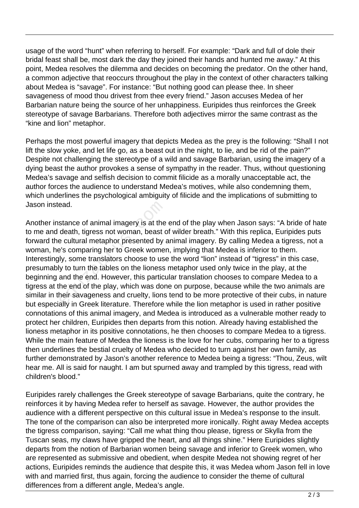usage of the word "hunt" when referring to herself. For example: "Dark and full of dole their bridal feast shall be, most dark the day they joined their hands and hunted me away." At this point, Medea resolves the dilemma and decides on becoming the predator. On the other hand, a common adjective that reoccurs throughout the play in the context of other characters talking about Medea is "savage". For instance: "But nothing good can please thee. In sheer savageness of mood thou drivest from thee every friend." Jason accuses Medea of her Barbarian nature being the source of her unhappiness. Euripides thus reinforces the Greek stereotype of savage Barbarians. Therefore both adjectives mirror the same contrast as the "kine and lion" metaphor.

Perhaps the most powerful imagery that depicts Medea as the prey is the following: "Shall I not lift the slow yoke, and let life go, as a beast out in the night, to lie, and be rid of the pain?" Despite not challenging the stereotype of a wild and savage Barbarian, using the imagery of a dying beast the author provokes a sense of sympathy in the reader. Thus, without questioning Medea's savage and selfish decision to commit filicide as a morally unacceptable act, the author forces the audience to understand Medea's motives, while also condemning them, which underlines the psychological ambiguity of filicide and the implications of submitting to Jason instead.

Another instance of animal imagery is at the end of the play when Jason says: "A bride of hate to me and death, tigress not woman, beast of wilder breath." With this replica, Euripides puts forward the cultural metaphor presented by animal imagery. By calling Medea a tigress, not a woman, he's comparing her to Greek women, implying that Medea is inferior to them. Interestingly, some translators choose to use the word "lion" instead of "tigress" in this case, presumably to turn the tables on the lioness metaphor used only twice in the play, at the beginning and the end. However, this particular translation chooses to compare Medea to a tigress at the end of the play, which was done on purpose, because while the two animals are similar in their savageness and cruelty, lions tend to be more protective of their cubs, in nature but especially in Greek literature. Therefore while the lion metaphor is used in rather positive connotations of this animal imagery, and Medea is introduced as a vulnerable mother ready to protect her children, Euripides then departs from this notion. Already having established the lioness metaphor in its positive connotations, he then chooses to compare Medea to a tigress. While the main feature of Medea the lioness is the love for her cubs, comparing her to a tigress then underlines the bestial cruelty of Medea who decided to turn against her own family, as further demonstrated by Jason's another reference to Medea being a tigress: "Thou, Zeus, wilt hear me. All is said for naught. I am but spurned away and trampled by this tigress, read with children's blood." ead.<br>stance of animal imagery is at the<br>death, tigress not woman, beast c<br>e cultural metaphor presented by a<br>lest comparing her to Greek womer<br>ly, some translators choose to use<br>y to turn the tables on the lioness<br>and the

Euripides rarely challenges the Greek stereotype of savage Barbarians, quite the contrary, he reinforces it by having Medea refer to herself as savage. However, the author provides the audience with a different perspective on this cultural issue in Medea's response to the insult. The tone of the comparison can also be interpreted more ironically. Right away Medea accepts the tigress comparison, saying: "Call me what thing thou please, tigress or Skylla from the Tuscan seas, my claws have gripped the heart, and all things shine." Here Euripides slightly departs from the notion of Barbarian women being savage and inferior to Greek women, who are represented as submissive and obedient, when despite Medea not showing regret of her actions, Euripides reminds the audience that despite this, it was Medea whom Jason fell in love with and married first, thus again, forcing the audience to consider the theme of cultural differences from a different angle, Medea's angle.